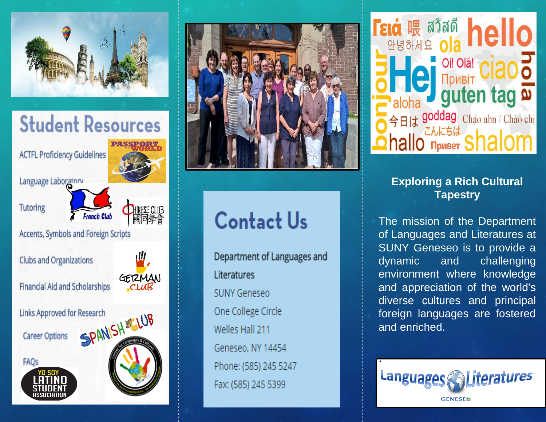



**ACTFL Proficiency Guidelines** 

Language Laboratory

**Tutoring** 



Accents, Symbols and Foreign Scripts

**Clubs and Organizations** 

Financial Aid and Scholarships



Links Approved for Research

Career Options







# **Contact Us**

Department of Languages and Literatures **SUNY Geneseo** One College Circle Welles Hall 211 Geneseo, NY 14454 Phone: (585) 245 5247 Fax: (585) 245 5399



## **Exploring a Rich Cultural Tapestry**

The mission of the Department of Languages and Literatures at SUNY Geneseo is to provide a dynamic challenging and environment where knowledge and appreciation of the world's diverse cultures and principal foreign languages are fostered and enriched.